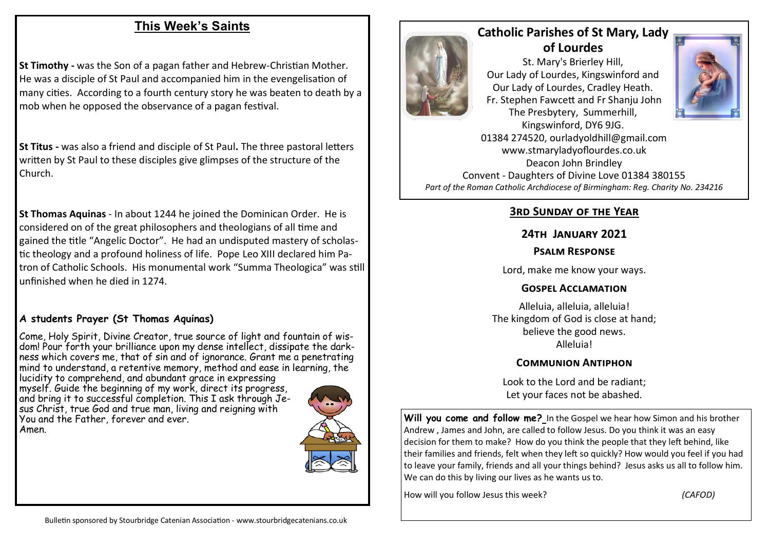## **This Week's Saints**

**St Timothy -** was the Son of a pagan father and Hebrew-Christian Mother. He was a disciple of St Paul and accompanied him in the evengelisation of many cities. According to a fourth century story he was beaten to death by a mob when he opposed the observance of a pagan festival.

**St Titus -** was also a friend and disciple of St Paul**.** The three pastoral letters written by St Paul to these disciples give glimpses of the structure of the Church.

**St Thomas Aquinas** - In about 1244 he joined the Dominican Order. He is considered on of the great philosophers and theologians of all time and gained the title "Angelic Doctor". He had an undisputed mastery of scholastic theology and a profound holiness of life. Pope Leo XIII declared him Patron of Catholic Schools. His monumental work "Summa Theologica" was still unfinished when he died in 1274.

#### **A students Prayer (St Thomas Aquinas)**

Come, Holy Spirit, Divine Creator, true source of light and fountain of wisdom! Pour forth your brilliance upon my dense intellect, dissipate the darkness which covers me, that of sin and of ignorance. Grant me a penetrating mind to understand, a retentive memory, method and ease in learning, the lucidity to comprehend, and abundant grace in expressing myself. Guide the beginning of my work, direct its progress, and bring it to successful completion. This I ask through Jesus Christ, true God and true man, living and reigning with You and the Father, forever and ever. Amen.





# **Catholic Parishes of St Mary, Lady of Lourdes**

St. Mary's Brierley Hill, Our Lady of Lourdes, Kingswinford and Our Lady of Lourdes, Cradley Heath. Fr. Stephen Fawcett and Fr Shanju John The Presbytery, Summerhill,



Kingswinford, DY6 9JG. 01384 274520, ourladyoldhill@gmail.com www.stmaryladyoflourdes.co.uk Deacon John Brindley Convent - Daughters of Divine Love 01384 380155 *Part of the Roman Catholic Archdiocese of Birmingham: Reg. Charity No. 234216*

### **3rd Sunday of the Year**

### **24th January 2021**

#### **Psalm Response**

Lord, make me know your ways.

#### **Gospel Acclamation**

Alleluia, alleluia, alleluia! The kingdom of God is close at hand; believe the good news. Alleluia!

#### **Communion Antiphon**

Look to the Lord and be radiant; Let your faces not be abashed.

Will you come and follow me? In the Gospel we hear how Simon and his brother Andrew , James and John, are called to follow Jesus. Do you think it was an easy decision for them to make? How do you think the people that they left behind, like their families and friends, felt when they left so quickly? How would you feel if you had to leave your family, friends and all your things behind? Jesus asks us all to follow him. We can do this by living our lives as he wants us to.

How will you follow Jesus this week? *(CAFOD)*